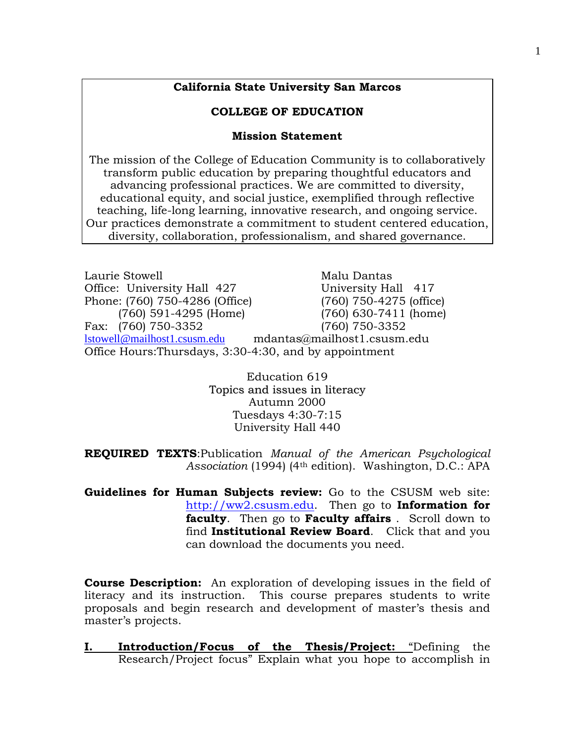## **California State University San Marcos**

## **COLLEGE OF EDUCATION**

#### **Mission Statement**

The mission of the College of Education Community is to collaboratively transform public education by preparing thoughtful educators and advancing professional practices. We are committed to diversity, educational equity, and social justice, exemplified through reflective teaching, life-long learning, innovative research, and ongoing service. Our practices demonstrate a commitment to student centered education, diversity, collaboration, professionalism, and shared governance.

| Laurie Stowell                                         | Malu Dantas                 |  |  |  |
|--------------------------------------------------------|-----------------------------|--|--|--|
| Office: University Hall 427                            | University Hall 417         |  |  |  |
| Phone: (760) 750-4286 (Office)                         | $(760)$ 750-4275 (office)   |  |  |  |
| $(760)$ 591-4295 (Home)                                | (760) 630-7411 (home)       |  |  |  |
| Fax: (760) 750-3352                                    | (760) 750-3352              |  |  |  |
| lstowell@mailhost1.csusm.edu                           | mdantas@mailhost1.csusm.edu |  |  |  |
| Office Hours: Thursdays, 3:30-4:30, and by appointment |                             |  |  |  |

Education 619 Topics and issues in literacy Autumn 2000 Tuesdays 4:30-7:15 University Hall 440

**REQUIRED TEXTS**:Publication *Manual of the American Psychological Association* (1994) (4th edition). Washington, D.C.: APA

**Guidelines for Human Subjects review:** Go to the CSUSM web site: [http://ww2.csusm.edu.](http://ww2.csusm.edu/) Then go to **Information for faculty**. Then go to **Faculty affairs** . Scroll down to find **Institutional Review Board**. Click that and you can download the documents you need.

**Course Description:** An exploration of developing issues in the field of literacy and its instruction. This course prepares students to write proposals and begin research and development of master's thesis and master's projects.

**I. Introduction/Focus of the Thesis/Project:** "Defining the Research/Project focus" Explain what you hope to accomplish in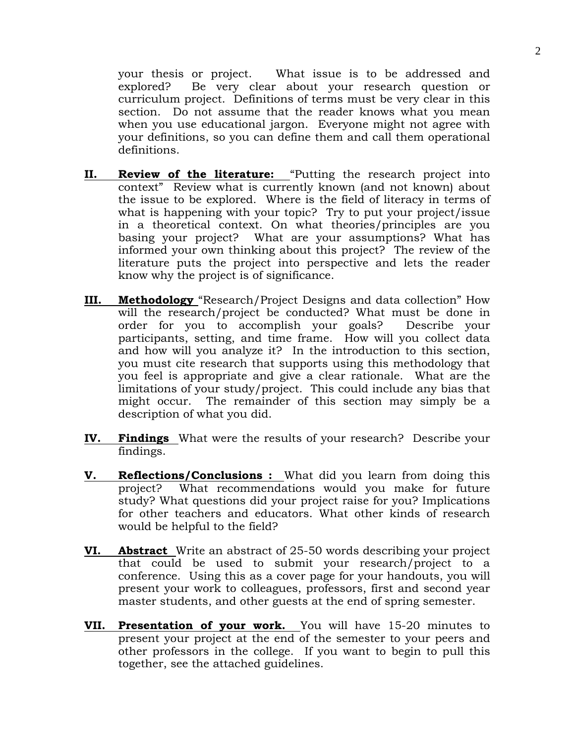your thesis or project. What issue is to be addressed and explored? Be very clear about your research question or curriculum project. Definitions of terms must be very clear in this section. Do not assume that the reader knows what you mean when you use educational jargon. Everyone might not agree with your definitions, so you can define them and call them operational definitions.

- **II. Review of the literature:** "Putting the research project into context" Review what is currently known (and not known) about the issue to be explored. Where is the field of literacy in terms of what is happening with your topic? Try to put your project/issue in a theoretical context. On what theories/principles are you basing your project? What are your assumptions? What has informed your own thinking about this project? The review of the literature puts the project into perspective and lets the reader know why the project is of significance.
- **III. Methodology** "Research/Project Designs and data collection" How will the research/project be conducted? What must be done in order for you to accomplish your goals? Describe your participants, setting, and time frame. How will you collect data and how will you analyze it? In the introduction to this section, you must cite research that supports using this methodology that you feel is appropriate and give a clear rationale. What are the limitations of your study/project. This could include any bias that might occur. The remainder of this section may simply be a description of what you did.
- **IV. Findings** What were the results of your research? Describe your findings.
- **V. Reflections/Conclusions :** What did you learn from doing this project? What recommendations would you make for future study? What questions did your project raise for you? Implications for other teachers and educators. What other kinds of research would be helpful to the field?
- **VI. Abstract** Write an abstract of 25-50 words describing your project that could be used to submit your research/project to a conference. Using this as a cover page for your handouts, you will present your work to colleagues, professors, first and second year master students, and other guests at the end of spring semester.
- **VII. Presentation of your work.** You will have 15-20 minutes to present your project at the end of the semester to your peers and other professors in the college. If you want to begin to pull this together, see the attached guidelines.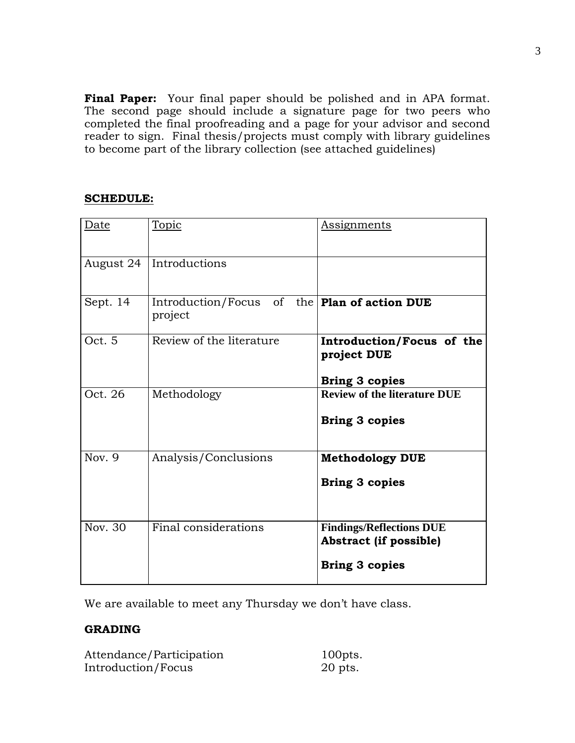**Final Paper:** Your final paper should be polished and in APA format. The second page should include a signature page for two peers who completed the final proofreading and a page for your advisor and second reader to sign. Final thesis/projects must comply with library guidelines to become part of the library collection (see attached guidelines)

# **SCHEDULE:**

| Date      | <b>Topic</b>                     | <b>Assignments</b>                                                                        |  |
|-----------|----------------------------------|-------------------------------------------------------------------------------------------|--|
| August 24 | Introductions                    |                                                                                           |  |
| Sept. 14  | Introduction/Focus of<br>project | the   Plan of action DUE                                                                  |  |
| Oct. 5    | Review of the literature         | Introduction/Focus of the<br>project DUE<br><b>Bring 3 copies</b>                         |  |
| Oct. 26   | Methodology                      | <b>Review of the literature DUE</b><br><b>Bring 3 copies</b>                              |  |
| Nov. 9    | Analysis/Conclusions             | <b>Methodology DUE</b><br><b>Bring 3 copies</b>                                           |  |
| Nov. 30   | Final considerations             | <b>Findings/Reflections DUE</b><br><b>Abstract (if possible)</b><br><b>Bring 3 copies</b> |  |

We are available to meet any Thursday we don't have class.

# **GRADING**

| Attendance/Participation | $100$ pts. |
|--------------------------|------------|
| Introduction/Focus       | $20$ pts.  |